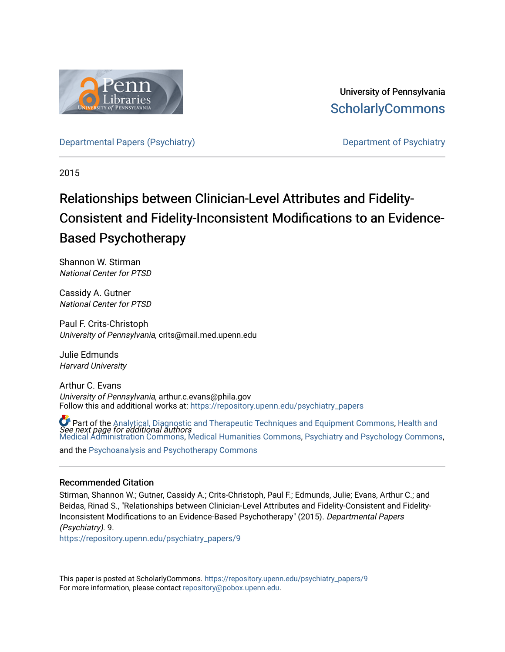

University of Pennsylvania **ScholarlyCommons** 

[Departmental Papers \(Psychiatry\)](https://repository.upenn.edu/psychiatry_papers) [Department of Psychiatry](https://repository.upenn.edu/psychiatry) Department of Psychiatry

2015

# Relationships between Clinician-Level Attributes and Fidelity-Consistent and Fidelity-Inconsistent Modifications to an Evidence-Based Psychotherapy

Shannon W. Stirman National Center for PTSD

Cassidy A. Gutner National Center for PTSD

Paul F. Crits-Christoph University of Pennsylvania, crits@mail.med.upenn.edu

Julie Edmunds Harvard University

Arthur C. Evans University of Pennsylvania, arthur.c.evans@phila.gov Follow this and additional works at: [https://repository.upenn.edu/psychiatry\\_papers](https://repository.upenn.edu/psychiatry_papers?utm_source=repository.upenn.edu%2Fpsychiatry_papers%2F9&utm_medium=PDF&utm_campaign=PDFCoverPages)

See next page for additional authors Part of the [Analytical, Diagnostic and Therapeutic Techniques and Equipment Commons](http://network.bepress.com/hgg/discipline/899?utm_source=repository.upenn.edu%2Fpsychiatry_papers%2F9&utm_medium=PDF&utm_campaign=PDFCoverPages), [Health and](http://network.bepress.com/hgg/discipline/663?utm_source=repository.upenn.edu%2Fpsychiatry_papers%2F9&utm_medium=PDF&utm_campaign=PDFCoverPages)  [Medical Administration Commons,](http://network.bepress.com/hgg/discipline/663?utm_source=repository.upenn.edu%2Fpsychiatry_papers%2F9&utm_medium=PDF&utm_campaign=PDFCoverPages) [Medical Humanities Commons](http://network.bepress.com/hgg/discipline/1303?utm_source=repository.upenn.edu%2Fpsychiatry_papers%2F9&utm_medium=PDF&utm_campaign=PDFCoverPages), [Psychiatry and Psychology Commons](http://network.bepress.com/hgg/discipline/908?utm_source=repository.upenn.edu%2Fpsychiatry_papers%2F9&utm_medium=PDF&utm_campaign=PDFCoverPages),

and the [Psychoanalysis and Psychotherapy Commons](http://network.bepress.com/hgg/discipline/716?utm_source=repository.upenn.edu%2Fpsychiatry_papers%2F9&utm_medium=PDF&utm_campaign=PDFCoverPages)

# Recommended Citation

Stirman, Shannon W.; Gutner, Cassidy A.; Crits-Christoph, Paul F.; Edmunds, Julie; Evans, Arthur C.; and Beidas, Rinad S., "Relationships between Clinician-Level Attributes and Fidelity-Consistent and Fidelity-Inconsistent Modifications to an Evidence-Based Psychotherapy" (2015). Departmental Papers (Psychiatry). 9.

[https://repository.upenn.edu/psychiatry\\_papers/9](https://repository.upenn.edu/psychiatry_papers/9?utm_source=repository.upenn.edu%2Fpsychiatry_papers%2F9&utm_medium=PDF&utm_campaign=PDFCoverPages) 

This paper is posted at ScholarlyCommons. [https://repository.upenn.edu/psychiatry\\_papers/9](https://repository.upenn.edu/psychiatry_papers/9) For more information, please contact [repository@pobox.upenn.edu.](mailto:repository@pobox.upenn.edu)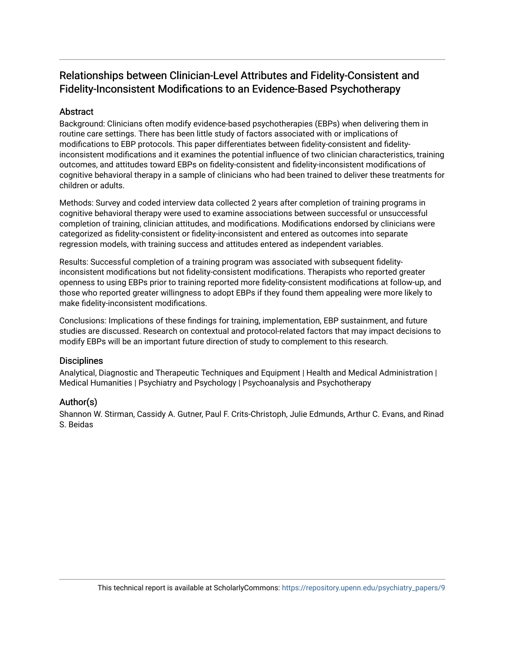# Relationships between Clinician-Level Attributes and Fidelity-Consistent and Fidelity-Inconsistent Modifications to an Evidence-Based Psychotherapy

# Abstract

Background: Clinicians often modify evidence-based psychotherapies (EBPs) when delivering them in routine care settings. There has been little study of factors associated with or implications of modifications to EBP protocols. This paper differentiates between fidelity-consistent and fidelityinconsistent modifications and it examines the potential influence of two clinician characteristics, training outcomes, and attitudes toward EBPs on fidelity-consistent and fidelity-inconsistent modifications of cognitive behavioral therapy in a sample of clinicians who had been trained to deliver these treatments for children or adults.

Methods: Survey and coded interview data collected 2 years after completion of training programs in cognitive behavioral therapy were used to examine associations between successful or unsuccessful completion of training, clinician attitudes, and modifications. Modifications endorsed by clinicians were categorized as fidelity-consistent or fidelity-inconsistent and entered as outcomes into separate regression models, with training success and attitudes entered as independent variables.

Results: Successful completion of a training program was associated with subsequent fidelityinconsistent modifications but not fidelity-consistent modifications. Therapists who reported greater openness to using EBPs prior to training reported more fidelity-consistent modifications at follow-up, and those who reported greater willingness to adopt EBPs if they found them appealing were more likely to make fidelity-inconsistent modifications.

Conclusions: Implications of these findings for training, implementation, EBP sustainment, and future studies are discussed. Research on contextual and protocol-related factors that may impact decisions to modify EBPs will be an important future direction of study to complement to this research.

# **Disciplines**

Analytical, Diagnostic and Therapeutic Techniques and Equipment | Health and Medical Administration | Medical Humanities | Psychiatry and Psychology | Psychoanalysis and Psychotherapy

# Author(s)

Shannon W. Stirman, Cassidy A. Gutner, Paul F. Crits-Christoph, Julie Edmunds, Arthur C. Evans, and Rinad S. Beidas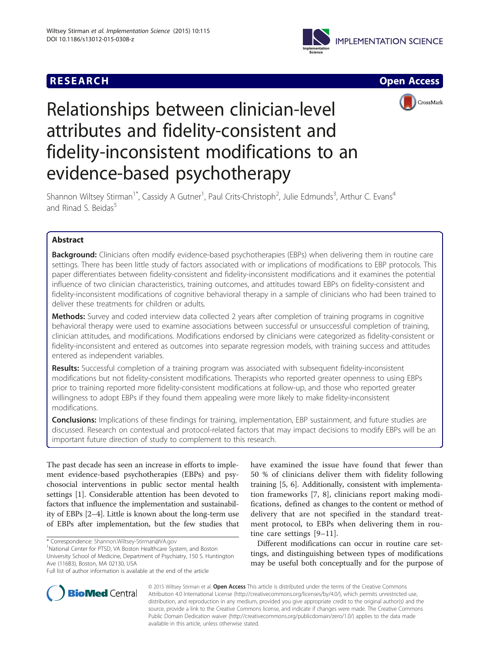





# Relationships between clinician-level attributes and fidelity-consistent and fidelity-inconsistent modifications to an evidence-based psychotherapy

Shannon Wiltsey Stirman<sup>1\*</sup>, Cassidy A Gutner<sup>1</sup>, Paul Crits-Christoph<sup>2</sup>, Julie Edmunds<sup>3</sup>, Arthur C. Evans<sup>4</sup> and Rinad S. Beidas<sup>5</sup>

### Abstract

Background: Clinicians often modify evidence-based psychotherapies (EBPs) when delivering them in routine care settings. There has been little study of factors associated with or implications of modifications to EBP protocols. This paper differentiates between fidelity-consistent and fidelity-inconsistent modifications and it examines the potential influence of two clinician characteristics, training outcomes, and attitudes toward EBPs on fidelity-consistent and fidelity-inconsistent modifications of cognitive behavioral therapy in a sample of clinicians who had been trained to deliver these treatments for children or adults.

Methods: Survey and coded interview data collected 2 years after completion of training programs in cognitive behavioral therapy were used to examine associations between successful or unsuccessful completion of training, clinician attitudes, and modifications. Modifications endorsed by clinicians were categorized as fidelity-consistent or fidelity-inconsistent and entered as outcomes into separate regression models, with training success and attitudes entered as independent variables.

Results: Successful completion of a training program was associated with subsequent fidelity-inconsistent modifications but not fidelity-consistent modifications. Therapists who reported greater openness to using EBPs prior to training reported more fidelity-consistent modifications at follow-up, and those who reported greater willingness to adopt EBPs if they found them appealing were more likely to make fidelity-inconsistent modifications.

Conclusions: Implications of these findings for training, implementation, EBP sustainment, and future studies are discussed. Research on contextual and protocol-related factors that may impact decisions to modify EBPs will be an important future direction of study to complement to this research.

The past decade has seen an increase in efforts to implement evidence-based psychotherapies (EBPs) and psychosocial interventions in public sector mental health settings [[1](#page-10-0)]. Considerable attention has been devoted to factors that influence the implementation and sustainability of EBPs [\[2](#page-10-0)–[4](#page-10-0)]. Little is known about the long-term use of EBPs after implementation, but the few studies that

\* Correspondence: [Shannon.Wiltsey-Stirman@VA.gov](mailto:Shannon.Wiltsey-Stirman@VA.gov) <sup>1</sup>

<sup>1</sup>National Center for PTSD, VA Boston Healthcare System, and Boston University School of Medicine, Department of Psychiatry, 150 S. Huntington have examined the issue have found that fewer than 50 % of clinicians deliver them with fidelity following training [[5, 6](#page-10-0)]. Additionally, consistent with implementation frameworks [\[7](#page-10-0), [8](#page-10-0)], clinicians report making modifications, defined as changes to the content or method of delivery that are not specified in the standard treatment protocol, to EBPs when delivering them in routine care settings [[9](#page-10-0)–[11\]](#page-10-0).

Different modifications can occur in routine care settings, and distinguishing between types of modifications may be useful both conceptually and for the purpose of



© 2015 Wiltsey Stirman et al. Open Access This article is distributed under the terms of the Creative Commons Attribution 4.0 International License [\(http://creativecommons.org/licenses/by/4.0/\)](http://creativecommons.org/licenses/by/4.0/), which permits unrestricted use, distribution, and reproduction in any medium, provided you give appropriate credit to the original author(s) and the source, provide a link to the Creative Commons license, and indicate if changes were made. The Creative Commons Public Domain Dedication waiver ([http://creativecommons.org/publicdomain/zero/1.0/\)](http://creativecommons.org/publicdomain/zero/1.0/) applies to the data made available in this article, unless otherwise stated.

Ave (116B3), Boston, MA 02130, USA

Full list of author information is available at the end of the article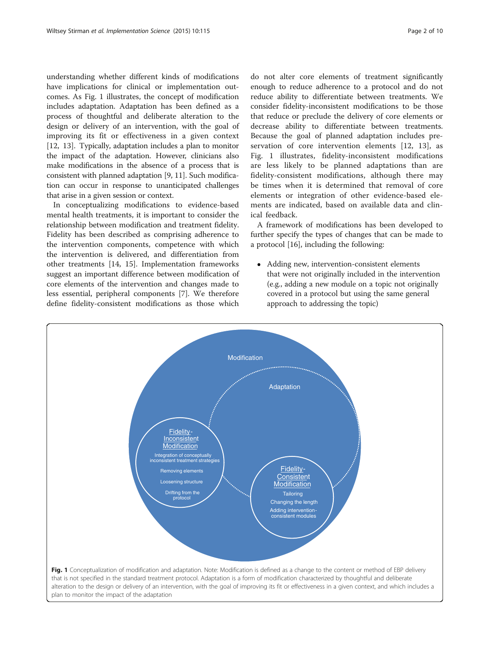understanding whether different kinds of modifications have implications for clinical or implementation outcomes. As Fig. 1 illustrates, the concept of modification includes adaptation. Adaptation has been defined as a process of thoughtful and deliberate alteration to the design or delivery of an intervention, with the goal of improving its fit or effectiveness in a given context [[12,](#page-10-0) [13\]](#page-11-0). Typically, adaptation includes a plan to monitor the impact of the adaptation. However, clinicians also make modifications in the absence of a process that is consistent with planned adaptation [[9, 11](#page-10-0)]. Such modification can occur in response to unanticipated challenges that arise in a given session or context.

In conceptualizing modifications to evidence-based mental health treatments, it is important to consider the relationship between modification and treatment fidelity. Fidelity has been described as comprising adherence to the intervention components, competence with which the intervention is delivered, and differentiation from other treatments [\[14](#page-11-0), [15\]](#page-11-0). Implementation frameworks suggest an important difference between modification of core elements of the intervention and changes made to less essential, peripheral components [\[7](#page-10-0)]. We therefore define fidelity-consistent modifications as those which

do not alter core elements of treatment significantly enough to reduce adherence to a protocol and do not reduce ability to differentiate between treatments. We consider fidelity-inconsistent modifications to be those that reduce or preclude the delivery of core elements or decrease ability to differentiate between treatments. Because the goal of planned adaptation includes preservation of core intervention elements [[12,](#page-10-0) [13\]](#page-11-0), as Fig. 1 illustrates, fidelity-inconsistent modifications are less likely to be planned adaptations than are fidelity-consistent modifications, although there may be times when it is determined that removal of core elements or integration of other evidence-based elements are indicated, based on available data and clinical feedback.

A framework of modifications has been developed to further specify the types of changes that can be made to a protocol [[16](#page-11-0)], including the following:

 Adding new, intervention-consistent elements that were not originally included in the intervention (e.g., adding a new module on a topic not originally covered in a protocol but using the same general approach to addressing the topic)

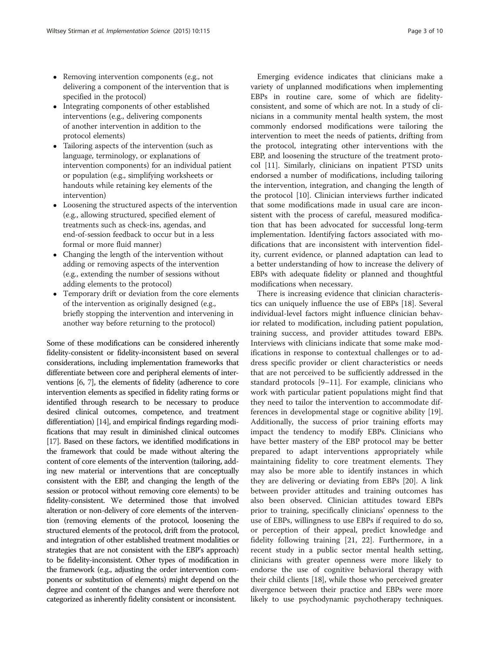- Removing intervention components (e.g., not delivering a component of the intervention that is specified in the protocol)
- Integrating components of other established interventions (e.g., delivering components of another intervention in addition to the protocol elements)
- Tailoring aspects of the intervention (such as language, terminology, or explanations of intervention components) for an individual patient or population (e.g., simplifying worksheets or handouts while retaining key elements of the intervention)
- Loosening the structured aspects of the intervention (e.g., allowing structured, specified element of treatments such as check-ins, agendas, and end-of-session feedback to occur but in a less formal or more fluid manner)
- Changing the length of the intervention without adding or removing aspects of the intervention (e.g., extending the number of sessions without adding elements to the protocol)
- Temporary drift or deviation from the core elements of the intervention as originally designed (e.g., briefly stopping the intervention and intervening in another way before returning to the protocol)

Some of these modifications can be considered inherently fidelity-consistent or fidelity-inconsistent based on several considerations, including implementation frameworks that differentiate between core and peripheral elements of interventions [\[6,](#page-10-0) [7](#page-10-0)], the elements of fidelity (adherence to core intervention elements as specified in fidelity rating forms or identified through research to be necessary to produce desired clinical outcomes, competence, and treatment differentiation) [\[14\]](#page-11-0), and empirical findings regarding modifications that may result in diminished clinical outcomes [[17](#page-11-0)]. Based on these factors, we identified modifications in the framework that could be made without altering the content of core elements of the intervention (tailoring, adding new material or interventions that are conceptually consistent with the EBP, and changing the length of the session or protocol without removing core elements) to be fidelity-consistent. We determined those that involved alteration or non-delivery of core elements of the intervention (removing elements of the protocol, loosening the structured elements of the protocol, drift from the protocol, and integration of other established treatment modalities or strategies that are not consistent with the EBP's approach) to be fidelity-inconsistent. Other types of modification in the framework (e.g., adjusting the order intervention components or substitution of elements) might depend on the degree and content of the changes and were therefore not categorized as inherently fidelity consistent or inconsistent.

Emerging evidence indicates that clinicians make a variety of unplanned modifications when implementing EBPs in routine care, some of which are fidelityconsistent, and some of which are not. In a study of clinicians in a community mental health system, the most commonly endorsed modifications were tailoring the intervention to meet the needs of patients, drifting from the protocol, integrating other interventions with the EBP, and loosening the structure of the treatment protocol [\[11\]](#page-10-0). Similarly, clinicians on inpatient PTSD units endorsed a number of modifications, including tailoring the intervention, integration, and changing the length of the protocol [\[10](#page-10-0)]. Clinician interviews further indicated that some modifications made in usual care are inconsistent with the process of careful, measured modification that has been advocated for successful long-term implementation. Identifying factors associated with modifications that are inconsistent with intervention fidelity, current evidence, or planned adaptation can lead to a better understanding of how to increase the delivery of EBPs with adequate fidelity or planned and thoughtful modifications when necessary.

There is increasing evidence that clinician characteristics can uniquely influence the use of EBPs [[18\]](#page-11-0). Several individual-level factors might influence clinician behavior related to modification, including patient population, training success, and provider attitudes toward EBPs. Interviews with clinicians indicate that some make modifications in response to contextual challenges or to address specific provider or client characteristics or needs that are not perceived to be sufficiently addressed in the standard protocols [[9](#page-10-0)–[11\]](#page-10-0). For example, clinicians who work with particular patient populations might find that they need to tailor the intervention to accommodate differences in developmental stage or cognitive ability [\[19](#page-11-0)]. Additionally, the success of prior training efforts may impact the tendency to modify EBPs. Clinicians who have better mastery of the EBP protocol may be better prepared to adapt interventions appropriately while maintaining fidelity to core treatment elements. They may also be more able to identify instances in which they are delivering or deviating from EBPs [[20\]](#page-11-0). A link between provider attitudes and training outcomes has also been observed. Clinician attitudes toward EBPs prior to training, specifically clinicians' openness to the use of EBPs, willingness to use EBPs if required to do so, or perception of their appeal, predict knowledge and fidelity following training [\[21](#page-11-0), [22\]](#page-11-0). Furthermore, in a recent study in a public sector mental health setting, clinicians with greater openness were more likely to endorse the use of cognitive behavioral therapy with their child clients [[18](#page-11-0)], while those who perceived greater divergence between their practice and EBPs were more likely to use psychodynamic psychotherapy techniques.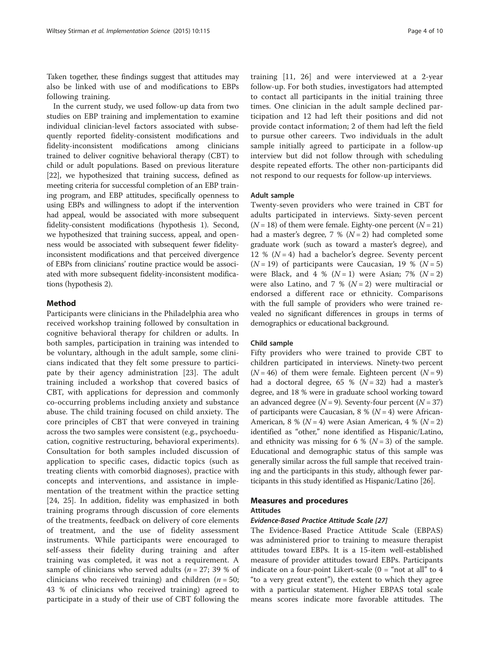Taken together, these findings suggest that attitudes may also be linked with use of and modifications to EBPs following training.

In the current study, we used follow-up data from two studies on EBP training and implementation to examine individual clinician-level factors associated with subsequently reported fidelity-consistent modifications and fidelity-inconsistent modifications among clinicians trained to deliver cognitive behavioral therapy (CBT) to child or adult populations. Based on previous literature [[22](#page-11-0)], we hypothesized that training success, defined as meeting criteria for successful completion of an EBP training program, and EBP attitudes, specifically openness to using EBPs and willingness to adopt if the intervention had appeal, would be associated with more subsequent fidelity-consistent modifications (hypothesis 1). Second, we hypothesized that training success, appeal, and openness would be associated with subsequent fewer fidelityinconsistent modifications and that perceived divergence of EBPs from clinicians' routine practice would be associated with more subsequent fidelity-inconsistent modifications (hypothesis 2).

#### Method

Participants were clinicians in the Philadelphia area who received workshop training followed by consultation in cognitive behavioral therapy for children or adults. In both samples, participation in training was intended to be voluntary, although in the adult sample, some clinicians indicated that they felt some pressure to participate by their agency administration [[23\]](#page-11-0). The adult training included a workshop that covered basics of CBT, with applications for depression and commonly co-occurring problems including anxiety and substance abuse. The child training focused on child anxiety. The core principles of CBT that were conveyed in training across the two samples were consistent (e.g., psychoeducation, cognitive restructuring, behavioral experiments). Consultation for both samples included discussion of application to specific cases, didactic topics (such as treating clients with comorbid diagnoses), practice with concepts and interventions, and assistance in implementation of the treatment within the practice setting [[24, 25\]](#page-11-0). In addition, fidelity was emphasized in both training programs through discussion of core elements of the treatments, feedback on delivery of core elements of treatment, and the use of fidelity assessment instruments. While participants were encouraged to self-assess their fidelity during training and after training was completed, it was not a requirement. A sample of clinicians who served adults ( $n = 27$ ; 39 % of clinicians who received training) and children ( $n = 50$ ; 43 % of clinicians who received training) agreed to participate in a study of their use of CBT following the

training [[11,](#page-10-0) [26\]](#page-11-0) and were interviewed at a 2-year follow-up. For both studies, investigators had attempted to contact all participants in the initial training three times. One clinician in the adult sample declined participation and 12 had left their positions and did not provide contact information; 2 of them had left the field to pursue other careers. Two individuals in the adult sample initially agreed to participate in a follow-up interview but did not follow through with scheduling despite repeated efforts. The other non-participants did not respond to our requests for follow-up interviews.

#### Adult sample

Twenty-seven providers who were trained in CBT for adults participated in interviews. Sixty-seven percent  $(N = 18)$  of them were female. Eighty-one percent  $(N = 21)$ had a master's degree, 7 % ( $N = 2$ ) had completed some graduate work (such as toward a master's degree), and 12 %  $(N = 4)$  had a bachelor's degree. Seventy percent  $(N = 19)$  of participants were Caucasian, 19 %  $(N = 5)$ were Black, and 4 %  $(N=1)$  were Asian; 7%  $(N=2)$ were also Latino, and 7 % ( $N = 2$ ) were multiracial or endorsed a different race or ethnicity. Comparisons with the full sample of providers who were trained revealed no significant differences in groups in terms of demographics or educational background.

#### Child sample

Fifty providers who were trained to provide CBT to children participated in interviews. Ninety-two percent  $(N = 46)$  of them were female. Eighteen percent  $(N = 9)$ had a doctoral degree,  $65 \%$  ( $N = 32$ ) had a master's degree, and 18 % were in graduate school working toward an advanced degree ( $N = 9$ ). Seventy-four percent ( $N = 37$ ) of participants were Caucasian, 8 % ( $N = 4$ ) were African-American, 8 % ( $N = 4$ ) were Asian American, 4 % ( $N = 2$ ) identified as "other," none identified as Hispanic/Latino, and ethnicity was missing for 6 % ( $N = 3$ ) of the sample. Educational and demographic status of this sample was generally similar across the full sample that received training and the participants in this study, although fewer participants in this study identified as Hispanic/Latino [\[26\]](#page-11-0).

### Measures and procedures Attitudes

#### Evidence-Based Practice Attitude Scale [\[27](#page-11-0)]

The Evidence-Based Practice Attitude Scale (EBPAS) was administered prior to training to measure therapist attitudes toward EBPs. It is a 15-item well-established measure of provider attitudes toward EBPs. Participants indicate on a four-point Likert-scale  $(0 = "not at all" to 4$ "to a very great extent"), the extent to which they agree with a particular statement. Higher EBPAS total scale means scores indicate more favorable attitudes. The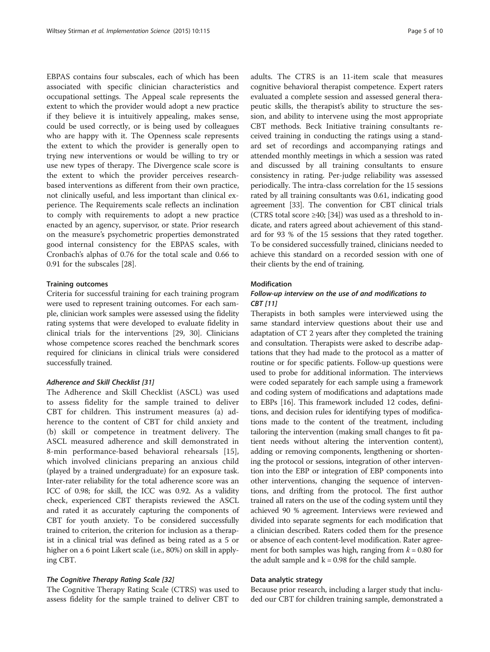EBPAS contains four subscales, each of which has been associated with specific clinician characteristics and occupational settings. The Appeal scale represents the extent to which the provider would adopt a new practice if they believe it is intuitively appealing, makes sense, could be used correctly, or is being used by colleagues who are happy with it. The Openness scale represents the extent to which the provider is generally open to trying new interventions or would be willing to try or use new types of therapy. The Divergence scale score is the extent to which the provider perceives researchbased interventions as different from their own practice, not clinically useful, and less important than clinical experience. The Requirements scale reflects an inclination to comply with requirements to adopt a new practice enacted by an agency, supervisor, or state. Prior research on the measure's psychometric properties demonstrated good internal consistency for the EBPAS scales, with Cronbach's alphas of 0.76 for the total scale and 0.66 to 0.91 for the subscales [[28](#page-11-0)].

#### Training outcomes

Criteria for successful training for each training program were used to represent training outcomes. For each sample, clinician work samples were assessed using the fidelity rating systems that were developed to evaluate fidelity in clinical trials for the interventions [\[29, 30](#page-11-0)]. Clinicians whose competence scores reached the benchmark scores required for clinicians in clinical trials were considered successfully trained.

#### Adherence and Skill Checklist [\[31\]](#page-11-0)

The Adherence and Skill Checklist (ASCL) was used to assess fidelity for the sample trained to deliver CBT for children. This instrument measures (a) adherence to the content of CBT for child anxiety and (b) skill or competence in treatment delivery. The ASCL measured adherence and skill demonstrated in 8-min performance-based behavioral rehearsals [\[15](#page-11-0)], which involved clinicians preparing an anxious child (played by a trained undergraduate) for an exposure task. Inter-rater reliability for the total adherence score was an ICC of 0.98; for skill, the ICC was 0.92. As a validity check, experienced CBT therapists reviewed the ASCL and rated it as accurately capturing the components of CBT for youth anxiety. To be considered successfully trained to criterion, the criterion for inclusion as a therapist in a clinical trial was defined as being rated as a 5 or higher on a 6 point Likert scale (i.e., 80%) on skill in applying CBT.

#### The Cognitive Therapy Rating Scale [[32](#page-11-0)]

The Cognitive Therapy Rating Scale (CTRS) was used to assess fidelity for the sample trained to deliver CBT to

adults. The CTRS is an 11-item scale that measures cognitive behavioral therapist competence. Expert raters evaluated a complete session and assessed general therapeutic skills, the therapist's ability to structure the session, and ability to intervene using the most appropriate CBT methods. Beck Initiative training consultants received training in conducting the ratings using a standard set of recordings and accompanying ratings and attended monthly meetings in which a session was rated and discussed by all training consultants to ensure consistency in rating. Per-judge reliability was assessed periodically. The intra-class correlation for the 15 sessions rated by all training consultants was 0.61, indicating good agreement [[33\]](#page-11-0). The convention for CBT clinical trials (CTRS total score  $\geq 40$ ; [\[34](#page-11-0)]) was used as a threshold to indicate, and raters agreed about achievement of this standard for 93 % of the 15 sessions that they rated together. To be considered successfully trained, clinicians needed to achieve this standard on a recorded session with one of their clients by the end of training.

### Modification

#### Follow-up interview on the use of and modifications to CBT [\[11](#page-10-0)]

Therapists in both samples were interviewed using the same standard interview questions about their use and adaptation of CT 2 years after they completed the training and consultation. Therapists were asked to describe adaptations that they had made to the protocol as a matter of routine or for specific patients. Follow-up questions were used to probe for additional information. The interviews were coded separately for each sample using a framework and coding system of modifications and adaptations made to EBPs [\[16\]](#page-11-0). This framework included 12 codes, definitions, and decision rules for identifying types of modifications made to the content of the treatment, including tailoring the intervention (making small changes to fit patient needs without altering the intervention content), adding or removing components, lengthening or shortening the protocol or sessions, integration of other intervention into the EBP or integration of EBP components into other interventions, changing the sequence of interventions, and drifting from the protocol. The first author trained all raters on the use of the coding system until they achieved 90 % agreement. Interviews were reviewed and divided into separate segments for each modification that a clinician described. Raters coded them for the presence or absence of each content-level modification. Rater agreement for both samples was high, ranging from  $k = 0.80$  for the adult sample and  $k = 0.98$  for the child sample.

#### Data analytic strategy

Because prior research, including a larger study that included our CBT for children training sample, demonstrated a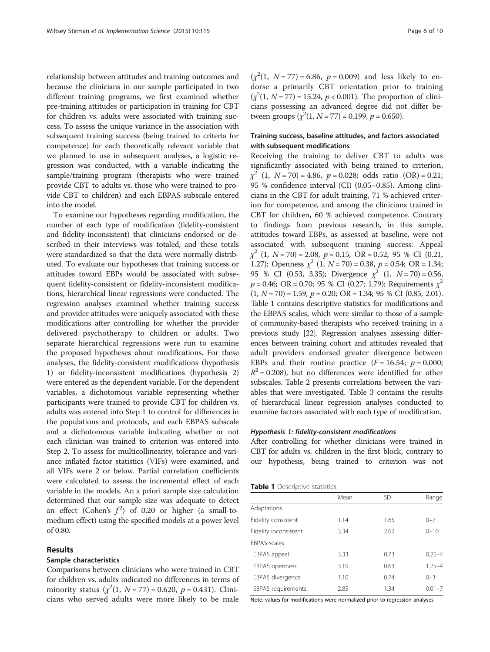relationship between attitudes and training outcomes and because the clinicians in our sample participated in two different training programs, we first examined whether pre-training attitudes or participation in training for CBT for children vs. adults were associated with training success. To assess the unique variance in the association with subsequent training success (being trained to criteria for competence) for each theoretically relevant variable that we planned to use in subsequent analyses, a logistic regression was conducted, with a variable indicating the sample/training program (therapists who were trained provide CBT to adults vs. those who were trained to provide CBT to children) and each EBPAS subscale entered into the model.

To examine our hypotheses regarding modification, the number of each type of modification (fidelity-consistent and fidelity-inconsistent) that clinicians endorsed or described in their interviews was totaled, and these totals were standardized so that the data were normally distributed. To evaluate our hypotheses that training success or attitudes toward EBPs would be associated with subsequent fidelity-consistent or fidelity-inconsistent modifications, hierarchical linear regressions were conducted. The regression analyses examined whether training success and provider attitudes were uniquely associated with these modifications after controlling for whether the provider delivered psychotherapy to children or adults. Two separate hierarchical regressions were run to examine the proposed hypotheses about modifications. For these analyses, the fidelity-consistent modifications (hypothesis 1) or fidelity-inconsistent modifications (hypothesis 2) were entered as the dependent variable. For the dependent variables, a dichotomous variable representing whether participants were trained to provide CBT for children vs. adults was entered into Step 1 to control for differences in the populations and protocols, and each EBPAS subscale and a dichotomous variable indicating whether or not each clinician was trained to criterion was entered into Step 2. To assess for multicollinearity, tolerance and variance inflated factor statistics (VIFs) were examined, and all VIFs were 2 or below. Partial correlation coefficients were calculated to assess the incremental effect of each variable in the models. An a priori sample size calculation determined that our sample size was adequate to detect an effect (Cohen's  $f^2$ ) of 0.20 or higher (a small-tomedium effect) using the specified models at a power level of 0.80.

#### Results

#### Sample characteristics

Comparisons between clinicians who were trained in CBT for children vs. adults indicated no differences in terms of minority status  $(\chi^2(1, N = 77) = 0.620, p = 0.431)$ . Clinicians who served adults were more likely to be male

 $(\chi^2(1, N = 77) = 6.86, p = 0.009)$  and less likely to endorse a primarily CBT orientation prior to training  $(\chi^2(1, N = 77) = 15.24, p < 0.001)$ . The proportion of clinicians possessing an advanced degree did not differ between groups  $(\chi^2(1, N = 77) = 0.199, p = 0.650)$ .

#### Training success, baseline attitudes, and factors associated with subsequent modifications

Receiving the training to deliver CBT to adults was significantly associated with being trained to criterion,  $\chi^2$  (1, N = 70) = 4.86, p = 0.028; odds ratio (OR) = 0.21; 95 % confidence interval (CI) (0.05–0.85). Among clinicians in the CBT for adult training, 71 % achieved criterion for competence, and among the clinicians trained in CBT for children, 60 % achieved competence. Contrary to findings from previous research, in this sample, attitudes toward EBPs, as assessed at baseline, were not associated with subsequent training success: Appeal  $\chi^2$  (1, N = 70) = 2.08, p = 0.15; OR = 0.52; 95 % CI (0.21, 1.27); Openness  $\chi^2$  (1,  $N = 70$ ) = 0.38,  $p = 0.54$ ; OR = 1.34; 95 % CI (0.53, 3.35); Divergence  $\chi^2$  (1,  $N = 70$ ) = 0.56,  $p = 0.46$ ; OR = 0.70; 95 % CI (0.27; 1.79); Requirements  $\chi^2$  $(1, N = 70) = 1.59$ ,  $p = 0.20$ ; OR = 1.34; 95 % CI (0.85, 2.01). Table 1 contains descriptive statistics for modifications and the EBPAS scales, which were similar to those of a sample of community-based therapists who received training in a previous study [[22](#page-11-0)]. Regression analyses assessing differences between training cohort and attitudes revealed that adult providers endorsed greater divergence between EBPs and their routine practice  $(F = 16.54; p = 0.000;$  $R^2$  = 0.208), but no differences were identified for other subscales. Table [2](#page-8-0) presents correlations between the variables that were investigated. Table [3](#page-8-0) contains the results of hierarchical linear regression analyses conducted to examine factors associated with each type of modification.

#### Hypothesis 1: fidelity-consistent modifications

After controlling for whether clinicians were trained in CBT for adults vs. children in the first block, contrary to our hypothesis, being trained to criterion was not

| Table 1 Descriptive statistics |  |
|--------------------------------|--|
|--------------------------------|--|

|                           | Mean | <b>SD</b> | Range      |
|---------------------------|------|-----------|------------|
| Adaptations               |      |           |            |
| Fidelity consistent       | 1.14 | 1.65      | $0 - 7$    |
| Fidelity inconsistent     | 3.34 | 2.62      | $0 - 10$   |
| <b>FBPAS</b> scales       |      |           |            |
| EBPAS appeal              | 3.33 | 0.73      | $0.25 - 4$ |
| <b>EBPAS</b> openness     | 3.19 | 0.63      | $1.25 - 4$ |
| EBPAS divergence          | 1.10 | 0.74      | $0 - 3$    |
| <b>EBPAS</b> requirements | 2.85 | 1.34      | $0.01 - 7$ |

Note: values for modifications were normalized prior to regression analyses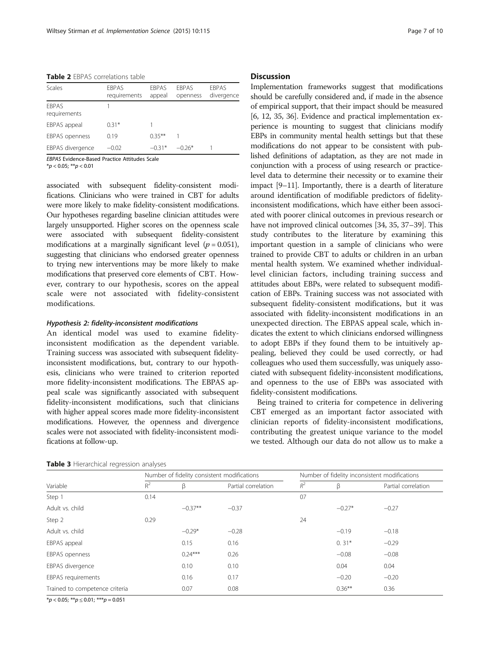<span id="page-8-0"></span>Table 2 EBPAS correlations table

| Scales                | <b>FBPAS</b><br>requirements | <b>FBPAS</b><br>appeal | <b>FBPAS</b><br>openness | <b>FBPAS</b><br>divergence |
|-----------------------|------------------------------|------------------------|--------------------------|----------------------------|
| EBPAS<br>requirements |                              |                        |                          |                            |
| EBPAS appeal          | $0.31*$                      |                        |                          |                            |
| <b>EBPAS</b> openness | 0.19                         | $0.35***$              |                          |                            |
| EBPAS divergence      | $-0.02$                      | $-0.31*$               | $-0.26*$                 |                            |

EBPAS Evidence-Based Practice Attitudes Scale

 $*$ *p* < 0.05; \*\**p* < 0.01

associated with subsequent fidelity-consistent modifications. Clinicians who were trained in CBT for adults were more likely to make fidelity-consistent modifications. Our hypotheses regarding baseline clinician attitudes were largely unsupported. Higher scores on the openness scale were associated with subsequent fidelity-consistent modifications at a marginally significant level ( $p = 0.051$ ), suggesting that clinicians who endorsed greater openness to trying new interventions may be more likely to make modifications that preserved core elements of CBT. However, contrary to our hypothesis, scores on the appeal scale were not associated with fidelity-consistent modifications.

#### Hypothesis 2: fidelity-inconsistent modifications

An identical model was used to examine fidelityinconsistent modification as the dependent variable. Training success was associated with subsequent fidelityinconsistent modifications, but, contrary to our hypothesis, clinicians who were trained to criterion reported more fidelity-inconsistent modifications. The EBPAS appeal scale was significantly associated with subsequent fidelity-inconsistent modifications, such that clinicians with higher appeal scores made more fidelity-inconsistent modifications. However, the openness and divergence scales were not associated with fidelity-inconsistent modifications at follow-up.

#### **Discussion**

Implementation frameworks suggest that modifications should be carefully considered and, if made in the absence of empirical support, that their impact should be measured [[6](#page-10-0), [12,](#page-10-0) [35, 36\]](#page-11-0). Evidence and practical implementation experience is mounting to suggest that clinicians modify EBPs in community mental health settings but that these modifications do not appear to be consistent with published definitions of adaptation, as they are not made in conjunction with a process of using research or practicelevel data to determine their necessity or to examine their impact [[9](#page-10-0)–[11\]](#page-10-0). Importantly, there is a dearth of literature around identification of modifiable predictors of fidelityinconsistent modifications, which have either been associated with poorer clinical outcomes in previous research or have not improved clinical outcomes [[34](#page-11-0), [35, 37](#page-11-0)–[39\]](#page-11-0). This study contributes to the literature by examining this important question in a sample of clinicians who were trained to provide CBT to adults or children in an urban mental health system. We examined whether individuallevel clinician factors, including training success and attitudes about EBPs, were related to subsequent modification of EBPs. Training success was not associated with subsequent fidelity-consistent modifications, but it was associated with fidelity-inconsistent modifications in an unexpected direction. The EBPAS appeal scale, which indicates the extent to which clinicians endorsed willingness to adopt EBPs if they found them to be intuitively appealing, believed they could be used correctly, or had colleagues who used them successfully, was uniquely associated with subsequent fidelity-inconsistent modifications, and openness to the use of EBPs was associated with fidelity-consistent modifications.

Being trained to criteria for competence in delivering CBT emerged as an important factor associated with clinician reports of fidelity-inconsistent modifications, contributing the greatest unique variance to the model we tested. Although our data do not allow us to make a

Table 3 Hierarchical regression analyses

|                                | Number of fidelity consistent modifications |           |                     | Number of fidelity inconsistent modifications |           |                     |
|--------------------------------|---------------------------------------------|-----------|---------------------|-----------------------------------------------|-----------|---------------------|
| Variable                       | $R^2$                                       | β         | Partial correlation | $R^2$                                         | β         | Partial correlation |
| Step 1                         | 0.14                                        |           |                     | 07                                            |           |                     |
| Adult vs. child                |                                             | $-0.37**$ | $-0.37$             |                                               | $-0.27*$  | $-0.27$             |
| Step 2                         | 0.29                                        |           |                     | 24                                            |           |                     |
| Adult vs. child                |                                             | $-0.29*$  | $-0.28$             |                                               | $-0.19$   | $-0.18$             |
| EBPAS appeal                   |                                             | 0.15      | 0.16                |                                               | $0.31*$   | $-0.29$             |
| <b>EBPAS</b> openness          |                                             | $0.24***$ | 0.26                |                                               | $-0.08$   | $-0.08$             |
| EBPAS divergence               |                                             | 0.10      | 0.10                |                                               | 0.04      | 0.04                |
| <b>EBPAS</b> requirements      |                                             | 0.16      | 0.17                |                                               | $-0.20$   | $-0.20$             |
| Trained to competence criteria |                                             | 0.07      | 0.08                |                                               | $0.36***$ | 0.36                |

 $**p* < 0.05; ***p* \le 0.01; ****p* = 0.051$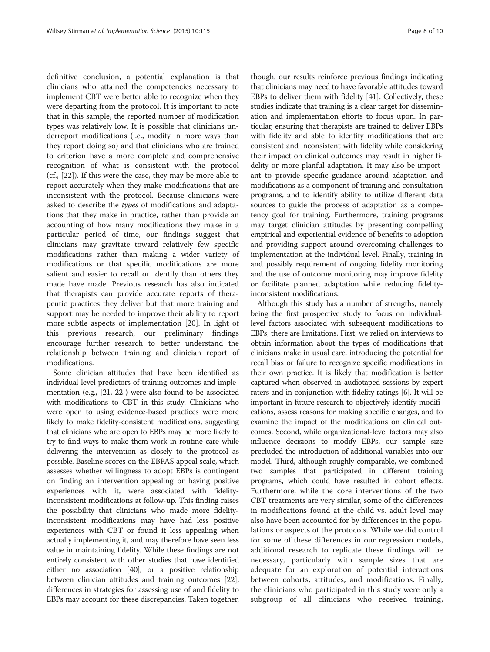definitive conclusion, a potential explanation is that clinicians who attained the competencies necessary to implement CBT were better able to recognize when they were departing from the protocol. It is important to note that in this sample, the reported number of modification types was relatively low. It is possible that clinicians underreport modifications (i.e., modify in more ways than they report doing so) and that clinicians who are trained to criterion have a more complete and comprehensive recognition of what is consistent with the protocol (cf., [\[22](#page-11-0)]). If this were the case, they may be more able to report accurately when they make modifications that are inconsistent with the protocol. Because clinicians were asked to describe the types of modifications and adaptations that they make in practice, rather than provide an accounting of how many modifications they make in a particular period of time, our findings suggest that clinicians may gravitate toward relatively few specific modifications rather than making a wider variety of modifications or that specific modifications are more salient and easier to recall or identify than others they made have made. Previous research has also indicated that therapists can provide accurate reports of therapeutic practices they deliver but that more training and support may be needed to improve their ability to report more subtle aspects of implementation [\[20\]](#page-11-0). In light of this previous research, our preliminary findings encourage further research to better understand the relationship between training and clinician report of modifications.

Some clinician attitudes that have been identified as individual-level predictors of training outcomes and implementation (e.g., [[21](#page-11-0), [22](#page-11-0)]) were also found to be associated with modifications to CBT in this study. Clinicians who were open to using evidence-based practices were more likely to make fidelity-consistent modifications, suggesting that clinicians who are open to EBPs may be more likely to try to find ways to make them work in routine care while delivering the intervention as closely to the protocol as possible. Baseline scores on the EBPAS appeal scale, which assesses whether willingness to adopt EBPs is contingent on finding an intervention appealing or having positive experiences with it, were associated with fidelityinconsistent modifications at follow-up. This finding raises the possibility that clinicians who made more fidelityinconsistent modifications may have had less positive experiences with CBT or found it less appealing when actually implementing it, and may therefore have seen less value in maintaining fidelity. While these findings are not entirely consistent with other studies that have identified either no association [[40](#page-11-0)], or a positive relationship between clinician attitudes and training outcomes [[22](#page-11-0)], differences in strategies for assessing use of and fidelity to EBPs may account for these discrepancies. Taken together,

though, our results reinforce previous findings indicating that clinicians may need to have favorable attitudes toward EBPs to deliver them with fidelity [\[41\]](#page-11-0). Collectively, these studies indicate that training is a clear target for dissemination and implementation efforts to focus upon. In particular, ensuring that therapists are trained to deliver EBPs with fidelity and able to identify modifications that are consistent and inconsistent with fidelity while considering their impact on clinical outcomes may result in higher fidelity or more planful adaptation. It may also be important to provide specific guidance around adaptation and modifications as a component of training and consultation programs, and to identify ability to utilize different data sources to guide the process of adaptation as a competency goal for training. Furthermore, training programs may target clinician attitudes by presenting compelling empirical and experiential evidence of benefits to adoption and providing support around overcoming challenges to implementation at the individual level. Finally, training in and possibly requirement of ongoing fidelity monitoring and the use of outcome monitoring may improve fidelity or facilitate planned adaptation while reducing fidelityinconsistent modifications.

Although this study has a number of strengths, namely being the first prospective study to focus on individuallevel factors associated with subsequent modifications to EBPs, there are limitations. First, we relied on interviews to obtain information about the types of modifications that clinicians make in usual care, introducing the potential for recall bias or failure to recognize specific modifications in their own practice. It is likely that modification is better captured when observed in audiotaped sessions by expert raters and in conjunction with fidelity ratings [[6](#page-10-0)]. It will be important in future research to objectively identify modifications, assess reasons for making specific changes, and to examine the impact of the modifications on clinical outcomes. Second, while organizational-level factors may also influence decisions to modify EBPs, our sample size precluded the introduction of additional variables into our model. Third, although roughly comparable, we combined two samples that participated in different training programs, which could have resulted in cohort effects. Furthermore, while the core interventions of the two CBT treatments are very similar, some of the differences in modifications found at the child vs. adult level may also have been accounted for by differences in the populations or aspects of the protocols. While we did control for some of these differences in our regression models, additional research to replicate these findings will be necessary, particularly with sample sizes that are adequate for an exploration of potential interactions between cohorts, attitudes, and modifications. Finally, the clinicians who participated in this study were only a subgroup of all clinicians who received training,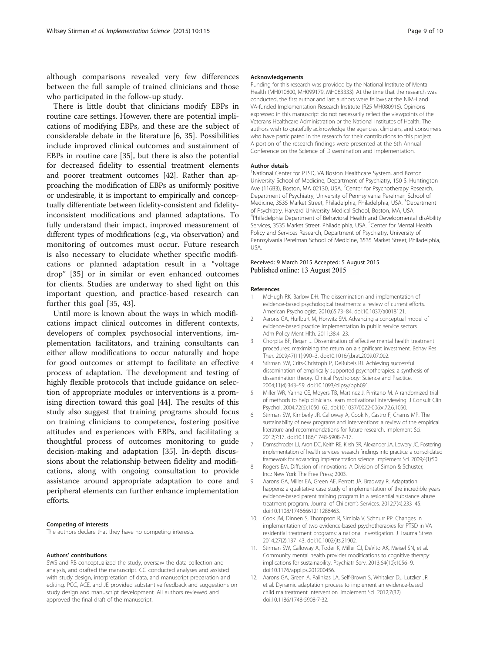<span id="page-10-0"></span>although comparisons revealed very few differences between the full sample of trained clinicians and those who participated in the follow-up study.

There is little doubt that clinicians modify EBPs in routine care settings. However, there are potential implications of modifying EBPs, and these are the subject of considerable debate in the literature [6, [35](#page-11-0)]. Possibilities include improved clinical outcomes and sustainment of EBPs in routine care [[35\]](#page-11-0), but there is also the potential for decreased fidelity to essential treatment elements and poorer treatment outcomes [\[42](#page-11-0)]. Rather than approaching the modification of EBPs as uniformly positive or undesirable, it is important to empirically and conceptually differentiate between fidelity-consistent and fidelityinconsistent modifications and planned adaptations. To fully understand their impact, improved measurement of different types of modifications (e.g., via observation) and monitoring of outcomes must occur. Future research is also necessary to elucidate whether specific modifications or planned adaptation result in a "voltage drop" [\[35](#page-11-0)] or in similar or even enhanced outcomes for clients. Studies are underway to shed light on this important question, and practice-based research can further this goal [[35](#page-11-0), [43](#page-11-0)].

Until more is known about the ways in which modifications impact clinical outcomes in different contexts, developers of complex psychosocial interventions, implementation facilitators, and training consultants can either allow modifications to occur naturally and hope for good outcomes or attempt to facilitate an effective process of adaptation. The development and testing of highly flexible protocols that include guidance on selection of appropriate modules or interventions is a promising direction toward this goal [\[44](#page-11-0)]. The results of this study also suggest that training programs should focus on training clinicians to competence, fostering positive attitudes and experiences with EBPs, and facilitating a thoughtful process of outcomes monitoring to guide decision-making and adaptation [[35\]](#page-11-0). In-depth discussions about the relationship between fidelity and modifications, along with ongoing consultation to provide assistance around appropriate adaptation to core and peripheral elements can further enhance implementation efforts.

#### Competing of interests

The authors declare that they have no competing interests.

#### Authors' contributions

SWS and RB conceptualized the study, oversaw the data collection and analysis, and drafted the manuscript. CG conducted analyses and assisted with study design, interpretation of data, and manuscript preparation and editing. PCC, ACE, and JE provided substantive feedback and suggestions on study design and manuscript development. All authors reviewed and approved the final draft of the manuscript.

#### Acknowledgements

Funding for this research was provided by the National Institute of Mental Health (MH010800, MH099179, MH083333). At the time that the research was conducted, the first author and last authors were fellows at the NIMH and VA-funded Implementation Research Institute (R25 MH080916). Opinions expressed in this manuscript do not necessarily reflect the viewpoints of the Veterans Healthcare Administration or the National Institutes of Health. The authors wish to gratefully acknowledge the agencies, clinicians, and consumers who have participated in the research for their contributions to this project. A portion of the research findings were presented at the 6th Annual Conference on the Science of Dissemination and Implementation.

#### Author details

<sup>1</sup>National Center for PTSD, VA Boston Healthcare System, and Boston University School of Medicine, Department of Psychiatry, 150 S. Huntington Ave (116B3), Boston, MA 02130, USA. <sup>2</sup> Center for Psychotherapy Research Department of Psychiatry, University of Pennsylvania Perelman School of Medicine, 3535 Market Street, Philadelphia, Philadelphia, USA. <sup>3</sup>Department of Psychiatry, Harvard University Medical School, Boston, MA, USA. 4 Philadelphia Department of Behavioral Health and Developmental disAbility Services, 3535 Market Street, Philadelphia, USA. <sup>5</sup>Center for Mental Health Policy and Services Research, Department of Psychiatry, University of Pennsylvania Perelman School of Medicine, 3535 Market Street, Philadelphia, USA.

#### Received: 9 March 2015 Accepted: 5 August 2015 Published online: 13 August 2015

#### References

- 1. McHugh RK, Barlow DH. The dissemination and implementation of evidence-based psychological treatments: a review of current efforts. American Psychologist. 2010;65:73–84. doi[:10.1037/a0018121](http://dx.doi.org/10.1037/a0018121).
- 2. Aarons GA, Hurlburt M, Horwitz SM. Advancing a conceptual model of evidence-based practice implementation in public service sectors. Adm Policy Ment Hlth. 2011;38:4–23.
- 3. Chorpita BF, Regan J. Dissemination of effective mental health treatment procedures: maximizing the return on a significant investment. Behav Res Ther. 2009;47(11):990–3. doi:[10.1016/j.brat.2009.07.002](http://dx.doi.org/10.1016/j.brat.2009.07.002).
- 4. Stirman SW, Crits-Christoph P, DeRubeis RJ. Achieving successful dissemination of empirically supported psychotherapies: a synthesis of dissemination theory. Clinical Psychology: Science and Practice. 2004;11(4):343–59. doi:[10.1093/clipsy/bph091.](http://dx.doi.org/10.1093/clipsy/bph091)
- 5. Miller WR, Yahne CE, Moyers TB, Martinez J, Pirritano M. A randomized trial of methods to help clinicians learn motivational interviewing. J Consult Clin Psychol. 2004;72(6):1050–62. doi[:10.1037/0022-006×.72.6.1050.](http://dx.doi.org/10.1037/0022-006%C3%97.72.6.1050)
- 6. Stirman SW, Kimberly JR, Calloway A, Cook N, Castro F, Charns MP. The sustainability of new programs and interventions: a review of the empirical literature and recommendations for future research. Implement Sci. 2012;7:17. doi:[10.1186/1748-5908-7-17.](http://dx.doi.org/10.1186/1748-5908-7-17)
- 7. Damschroder LJ, Aron DC, Keith RE, Kirsh SR, Alexander JA, Lowery JC. Fostering implementation of health services research findings into practice: a consolidated framework for advancing implementation science. Implement Sci. 2009;4(1):50.
- 8. Rogers EM. Diffusion of innovations. A Division of Simon & Schuster, Inc.: New York The Free Press; 2003.
- Aarons GA, Miller EA, Green AE, Perrott JA, Bradway R. Adaptation happens: a qualitative case study of implementation of the incredible years evidence-based parent training program in a residential substance abuse treatment program. Journal of Children's Services. 2012;7(4):233–45. doi[:10.1108/17466661211286463](http://dx.doi.org/10.1108/17466661211286463).
- 10. Cook JM, Dinnen S, Thompson R, Simiola V, Schnurr PP. Changes in implementation of two evidence-based psychotherapies for PTSD in VA residential treatment programs: a national investigation. J Trauma Stress. 2014;27(2):137–43. doi:[10.1002/jts.21902.](http://dx.doi.org/10.1002/jts.21902)
- 11. Stirman SW, Calloway A, Toder K, Miller CJ, DeVito AK, Meisel SN, et al. Community mental health provider modifications to cognitive therapy: implications for sustainability. Psychiatr Serv. 2013;64(10):1056–9. doi[:10.1176/appi.ps.201200456](http://dx.doi.org/10.1176/appi.ps.201200456).
- 12. Aarons GA, Green A, Palinkas LA, Self-Brown S, Whitaker DJ, Lutzker JR et al. Dynamic adaptation process to implement an evidence-based child maltreatment intervention. Implement Sci. 2012;7(32). doi[:10.1186/1748-5908-7-32.](http://dx.doi.org/10.1186/1748-5908-7-32)